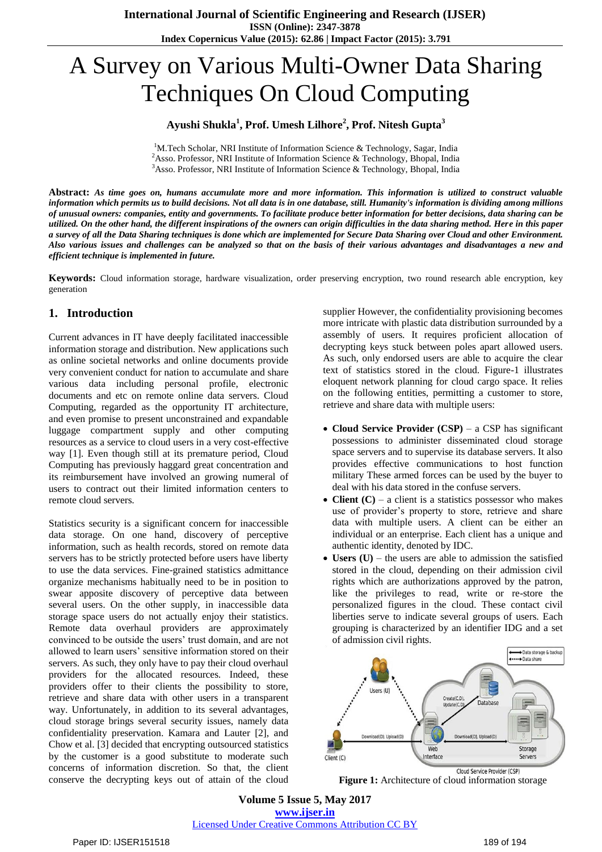# A Survey on Various Multi-Owner Data Sharing Techniques On Cloud Computing

### **Ayushi Shukla<sup>1</sup> , Prof. Umesh Lilhore<sup>2</sup> , Prof. Nitesh Gupta<sup>3</sup>**

<sup>1</sup>M.Tech Scholar, NRI Institute of Information Science & Technology, Sagar, India <sup>2</sup>Asso. Professor, NRI Institute of Information Science & Technology, Bhopal, India <sup>3</sup>Asso. Professor, NRI Institute of Information Science & Technology, Bhopal, India

**Abstract:** *As time goes on, humans accumulate more and more information. This information is utilized to construct valuable information which permits us to build decisions. Not all data is in one database, still. Humanity's information is dividing among millions of unusual owners: companies, entity and governments. To facilitate produce better information for better decisions, data sharing can be utilized. On the other hand, the different inspirations of the owners can origin difficulties in the data sharing method. Here in this paper a survey of all the Data Sharing techniques is done which are implemented for Secure Data Sharing over Cloud and other Environment. Also various issues and challenges can be analyzed so that on the basis of their various advantages and disadvantages a new and efficient technique is implemented in future.*

**Keywords:** Cloud information storage, hardware visualization, order preserving encryption, two round research able encryption, key generation

## **1. Introduction**

Current advances in IT have deeply facilitated inaccessible information storage and distribution. New applications such as online societal networks and online documents provide very convenient conduct for nation to accumulate and share various data including personal profile, electronic documents and etc on remote online data servers. Cloud Computing, regarded as the opportunity IT architecture, and even promise to present unconstrained and expandable luggage compartment supply and other computing resources as a service to cloud users in a very cost-effective way [1]. Even though still at its premature period, Cloud Computing has previously haggard great concentration and its reimbursement have involved an growing numeral of users to contract out their limited information centers to remote cloud servers.

Statistics security is a significant concern for inaccessible data storage. On one hand, discovery of perceptive information, such as health records, stored on remote data servers has to be strictly protected before users have liberty to use the data services. Fine-grained statistics admittance organize mechanisms habitually need to be in position to swear apposite discovery of perceptive data between several users. On the other supply, in inaccessible data storage space users do not actually enjoy their statistics. Remote data overhaul providers are approximately convinced to be outside the users' trust domain, and are not allowed to learn users' sensitive information stored on their servers. As such, they only have to pay their cloud overhaul providers for the allocated resources. Indeed, these providers offer to their clients the possibility to store, retrieve and share data with other users in a transparent way. Unfortunately, in addition to its several advantages, cloud storage brings several security issues, namely data confidentiality preservation. Kamara and Lauter [2], and Chow et al. [3] decided that encrypting outsourced statistics by the customer is a good substitute to moderate such concerns of information discretion. So that, the client conserve the decrypting keys out of attain of the cloud

supplier However, the confidentiality provisioning becomes more intricate with plastic data distribution surrounded by a assembly of users. It requires proficient allocation of decrypting keys stuck between poles apart allowed users. As such, only endorsed users are able to acquire the clear text of statistics stored in the cloud. Figure-1 illustrates eloquent network planning for cloud cargo space. It relies on the following entities, permitting a customer to store, retrieve and share data with multiple users:

- **Cloud Service Provider (CSP)** a CSP has significant possessions to administer disseminated cloud storage space servers and to supervise its database servers. It also provides effective communications to host function military These armed forces can be used by the buyer to deal with his data stored in the confuse servers.
- **Client (C)** a client is a statistics possessor who makes use of provider's property to store, retrieve and share data with multiple users. A client can be either an individual or an enterprise. Each client has a unique and authentic identity, denoted by IDC.
- **Users (U)** the users are able to admission the satisfied stored in the cloud, depending on their admission civil rights which are authorizations approved by the patron, like the privileges to read, write or re-store the personalized figures in the cloud. These contact civil liberties serve to indicate several groups of users. Each grouping is characterized by an identifier IDG and a set of admission civil rights.



Cloud Service Provider (CSP)

**Figure 1:** Architecture of cloud information storage

**Volume 5 Issue 5, May 2017 www.ijser.in** Licensed Under Creative Commons Attribution CC BY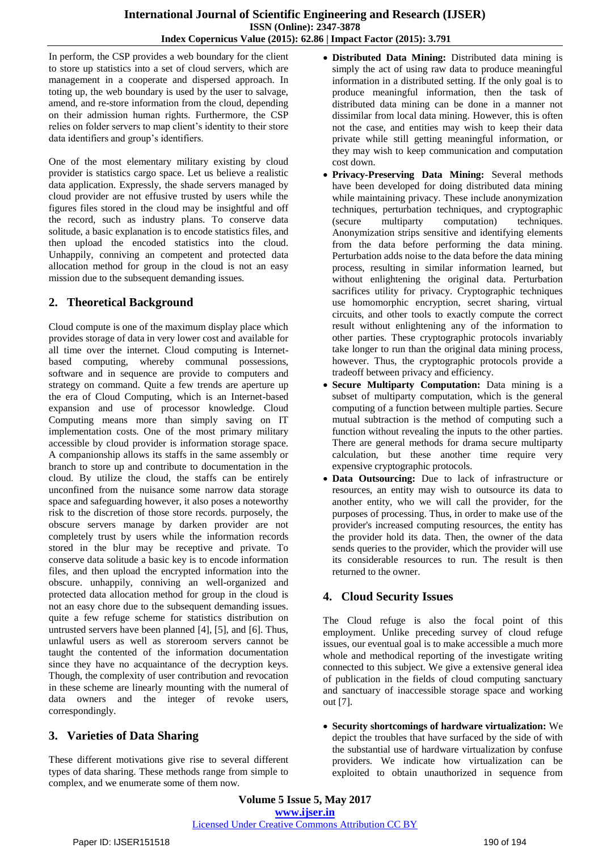In perform, the CSP provides a web boundary for the client to store up statistics into a set of cloud servers, which are management in a cooperate and dispersed approach. In toting up, the web boundary is used by the user to salvage, amend, and re-store information from the cloud, depending on their admission human rights. Furthermore, the CSP relies on folder servers to map client's identity to their store data identifiers and group's identifiers.

One of the most elementary military existing by cloud provider is statistics cargo space. Let us believe a realistic data application. Expressly, the shade servers managed by cloud provider are not effusive trusted by users while the figures files stored in the cloud may be insightful and off the record, such as industry plans. To conserve data solitude, a basic explanation is to encode statistics files, and then upload the encoded statistics into the cloud. Unhappily, conniving an competent and protected data allocation method for group in the cloud is not an easy mission due to the subsequent demanding issues.

# **2. Theoretical Background**

Cloud compute is one of the maximum display place which provides storage of data in very lower cost and available for all time over the internet. Cloud computing is Internetbased computing, whereby communal possessions, software and in sequence are provide to computers and strategy on command. Quite a few trends are aperture up the era of Cloud Computing, which is an Internet-based expansion and use of processor knowledge. Cloud Computing means more than simply saving on IT implementation costs. One of the most primary military accessible by cloud provider is information storage space. A companionship allows its staffs in the same assembly or branch to store up and contribute to documentation in the cloud. By utilize the cloud, the staffs can be entirely unconfined from the nuisance some narrow data storage space and safeguarding however, it also poses a noteworthy risk to the discretion of those store records. purposely, the obscure servers manage by darken provider are not completely trust by users while the information records stored in the blur may be receptive and private. To conserve data solitude a basic key is to encode information files, and then upload the encrypted information into the obscure. unhappily, conniving an well-organized and protected data allocation method for group in the cloud is not an easy chore due to the subsequent demanding issues. quite a few refuge scheme for statistics distribution on untrusted servers have been planned [4], [5], and [6]. Thus, unlawful users as well as storeroom servers cannot be taught the contented of the information documentation since they have no acquaintance of the decryption keys. Though, the complexity of user contribution and revocation in these scheme are linearly mounting with the numeral of data owners and the integer of revoke users, correspondingly.

# **3. Varieties of Data Sharing**

These different motivations give rise to several different types of data sharing. These methods range from simple to complex, and we enumerate some of them now.

- **Distributed Data Mining:** Distributed data mining is simply the act of using raw data to produce meaningful information in a distributed setting. If the only goal is to produce meaningful information, then the task of distributed data mining can be done in a manner not dissimilar from local data mining. However, this is often not the case, and entities may wish to keep their data private while still getting meaningful information, or they may wish to keep communication and computation cost down.
- **Privacy-Preserving Data Mining:** Several methods have been developed for doing distributed data mining while maintaining privacy. These include anonymization techniques, perturbation techniques, and cryptographic (secure multiparty computation) techniques. Anonymization strips sensitive and identifying elements from the data before performing the data mining. Perturbation adds noise to the data before the data mining process, resulting in similar information learned, but without enlightening the original data. Perturbation sacrifices utility for privacy. Cryptographic techniques use homomorphic encryption, secret sharing, virtual circuits, and other tools to exactly compute the correct result without enlightening any of the information to other parties. These cryptographic protocols invariably take longer to run than the original data mining process, however. Thus, the cryptographic protocols provide a tradeoff between privacy and efficiency.
- **Secure Multiparty Computation:** Data mining is a subset of multiparty computation, which is the general computing of a function between multiple parties. Secure mutual subtraction is the method of computing such a function without revealing the inputs to the other parties. There are general methods for drama secure multiparty calculation, but these another time require very expensive cryptographic protocols.
- **Data Outsourcing:** Due to lack of infrastructure or resources, an entity may wish to outsource its data to another entity, who we will call the provider, for the purposes of processing. Thus, in order to make use of the provider's increased computing resources, the entity has the provider hold its data. Then, the owner of the data sends queries to the provider, which the provider will use its considerable resources to run. The result is then returned to the owner.

# **4. Cloud Security Issues**

The Cloud refuge is also the focal point of this employment. Unlike preceding survey of cloud refuge issues, our eventual goal is to make accessible a much more whole and methodical reporting of the investigate writing connected to this subject. We give a extensive general idea of publication in the fields of cloud computing sanctuary and sanctuary of inaccessible storage space and working out [7].

 **Security shortcomings of hardware virtualization:** We depict the troubles that have surfaced by the side of with the substantial use of hardware virtualization by confuse providers. We indicate how virtualization can be exploited to obtain unauthorized in sequence from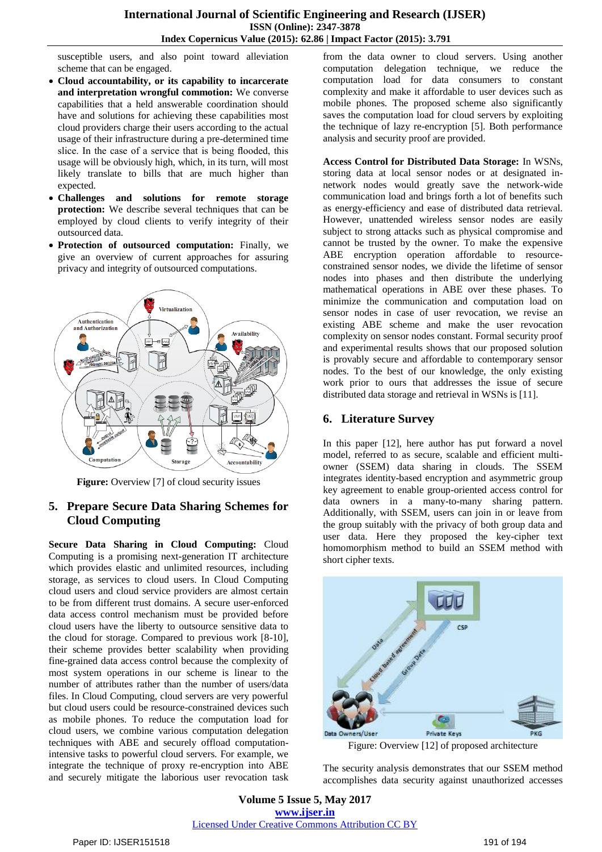susceptible users, and also point toward alleviation scheme that can be engaged.

- **Cloud accountability, or its capability to incarcerate and interpretation wrongful commotion:** We converse capabilities that a held answerable coordination should have and solutions for achieving these capabilities most cloud providers charge their users according to the actual usage of their infrastructure during a pre-determined time slice. In the case of a service that is being flooded, this usage will be obviously high, which, in its turn, will most likely translate to bills that are much higher than expected.
- **Challenges and solutions for remote storage protection:** We describe several techniques that can be employed by cloud clients to verify integrity of their outsourced data.
- **Protection of outsourced computation:** Finally, we give an overview of current approaches for assuring privacy and integrity of outsourced computations.



**Figure:** Overview [7] of cloud security issues

## **5. Prepare Secure Data Sharing Schemes for Cloud Computing**

**Secure Data Sharing in Cloud Computing:** Cloud Computing is a promising next-generation IT architecture which provides elastic and unlimited resources, including storage, as services to cloud users. In Cloud Computing cloud users and cloud service providers are almost certain to be from different trust domains. A secure user-enforced data access control mechanism must be provided before cloud users have the liberty to outsource sensitive data to the cloud for storage. Compared to previous work [8-10], their scheme provides better scalability when providing fine-grained data access control because the complexity of most system operations in our scheme is linear to the number of attributes rather than the number of users/data files. In Cloud Computing, cloud servers are very powerful but cloud users could be resource-constrained devices such as mobile phones. To reduce the computation load for cloud users, we combine various computation delegation techniques with ABE and securely offload computationintensive tasks to powerful cloud servers. For example, we integrate the technique of proxy re-encryption into ABE and securely mitigate the laborious user revocation task

from the data owner to cloud servers. Using another computation delegation technique, we reduce the computation load for data consumers to constant complexity and make it affordable to user devices such as mobile phones. The proposed scheme also significantly saves the computation load for cloud servers by exploiting the technique of lazy re-encryption [5]. Both performance analysis and security proof are provided.

**Access Control for Distributed Data Storage:** In WSNs, storing data at local sensor nodes or at designated innetwork nodes would greatly save the network-wide communication load and brings forth a lot of benefits such as energy-efficiency and ease of distributed data retrieval. However, unattended wireless sensor nodes are easily subject to strong attacks such as physical compromise and cannot be trusted by the owner. To make the expensive ABE encryption operation affordable to resourceconstrained sensor nodes, we divide the lifetime of sensor nodes into phases and then distribute the underlying mathematical operations in ABE over these phases. To minimize the communication and computation load on sensor nodes in case of user revocation, we revise an existing ABE scheme and make the user revocation complexity on sensor nodes constant. Formal security proof and experimental results shows that our proposed solution is provably secure and affordable to contemporary sensor nodes. To the best of our knowledge, the only existing work prior to ours that addresses the issue of secure distributed data storage and retrieval in WSNs is [11].

## **6. Literature Survey**

In this paper [12], here author has put forward a novel model, referred to as secure, scalable and efficient multiowner (SSEM) data sharing in clouds. The SSEM integrates identity-based encryption and asymmetric group key agreement to enable group-oriented access control for data owners in a many-to-many sharing pattern. Additionally, with SSEM, users can join in or leave from the group suitably with the privacy of both group data and user data. Here they proposed the key-cipher text homomorphism method to build an SSEM method with short cipher texts.



Figure: Overview [12] of proposed architecture

The security analysis demonstrates that our SSEM method accomplishes data security against unauthorized accesses

**Volume 5 Issue 5, May 2017 www.ijser.in** Licensed Under Creative Commons Attribution CC BY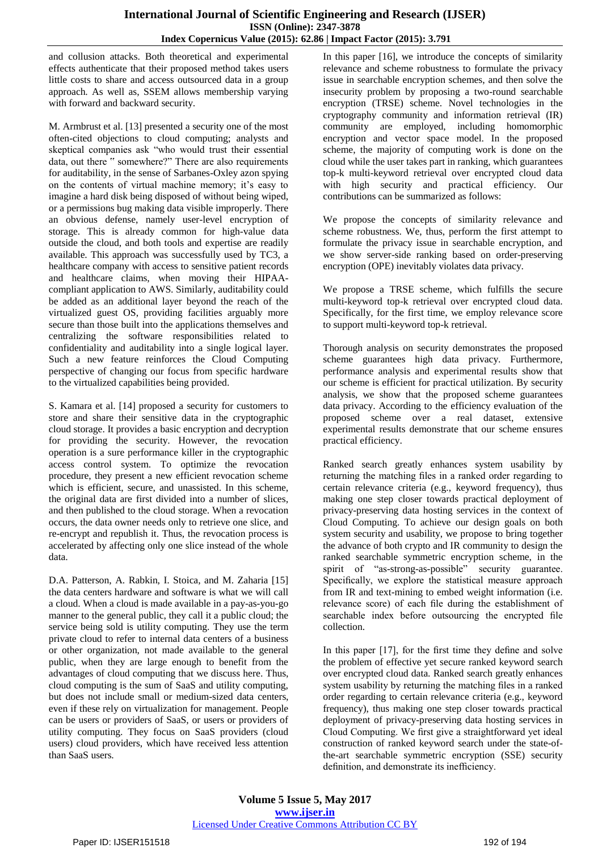and collusion attacks. Both theoretical and experimental effects authenticate that their proposed method takes users little costs to share and access outsourced data in a group approach. As well as, SSEM allows membership varying with forward and backward security.

M. Armbrust et al. [13] presented a security one of the most often-cited objections to cloud computing; analysts and skeptical companies ask "who would trust their essential data, out there " somewhere?" There are also requirements for auditability, in the sense of Sarbanes-Oxley azon spying on the contents of virtual machine memory; it's easy to imagine a hard disk being disposed of without being wiped, or a permissions bug making data visible improperly. There an obvious defense, namely user-level encryption of storage. This is already common for high-value data outside the cloud, and both tools and expertise are readily available. This approach was successfully used by TC3, a healthcare company with access to sensitive patient records and healthcare claims, when moving their HIPAAcompliant application to AWS. Similarly, auditability could be added as an additional layer beyond the reach of the virtualized guest OS, providing facilities arguably more secure than those built into the applications themselves and centralizing the software responsibilities related to confidentiality and auditability into a single logical layer. Such a new feature reinforces the Cloud Computing perspective of changing our focus from specific hardware to the virtualized capabilities being provided.

S. Kamara et al. [14] proposed a security for customers to store and share their sensitive data in the cryptographic cloud storage. It provides a basic encryption and decryption for providing the security. However, the revocation operation is a sure performance killer in the cryptographic access control system. To optimize the revocation procedure, they present a new efficient revocation scheme which is efficient, secure, and unassisted. In this scheme, the original data are first divided into a number of slices, and then published to the cloud storage. When a revocation occurs, the data owner needs only to retrieve one slice, and re-encrypt and republish it. Thus, the revocation process is accelerated by affecting only one slice instead of the whole data.

D.A. Patterson, A. Rabkin, I. Stoica, and M. Zaharia [15] the data centers hardware and software is what we will call a cloud. When a cloud is made available in a pay-as-you-go manner to the general public, they call it a public cloud; the service being sold is utility computing. They use the term private cloud to refer to internal data centers of a business or other organization, not made available to the general public, when they are large enough to benefit from the advantages of cloud computing that we discuss here. Thus, cloud computing is the sum of SaaS and utility computing, but does not include small or medium-sized data centers, even if these rely on virtualization for management. People can be users or providers of SaaS, or users or providers of utility computing. They focus on SaaS providers (cloud users) cloud providers, which have received less attention than SaaS users.

In this paper [16], we introduce the concepts of similarity relevance and scheme robustness to formulate the privacy issue in searchable encryption schemes, and then solve the insecurity problem by proposing a two-round searchable encryption (TRSE) scheme. Novel technologies in the cryptography community and information retrieval (IR) community are employed, including homomorphic encryption and vector space model. In the proposed scheme, the majority of computing work is done on the cloud while the user takes part in ranking, which guarantees top-k multi-keyword retrieval over encrypted cloud data with high security and practical efficiency. Our contributions can be summarized as follows:

We propose the concepts of similarity relevance and scheme robustness. We, thus, perform the first attempt to formulate the privacy issue in searchable encryption, and we show server-side ranking based on order-preserving encryption (OPE) inevitably violates data privacy.

We propose a TRSE scheme, which fulfills the secure multi-keyword top-k retrieval over encrypted cloud data. Specifically, for the first time, we employ relevance score to support multi-keyword top-k retrieval.

Thorough analysis on security demonstrates the proposed scheme guarantees high data privacy. Furthermore, performance analysis and experimental results show that our scheme is efficient for practical utilization. By security analysis, we show that the proposed scheme guarantees data privacy. According to the efficiency evaluation of the proposed scheme over a real dataset, extensive experimental results demonstrate that our scheme ensures practical efficiency.

Ranked search greatly enhances system usability by returning the matching files in a ranked order regarding to certain relevance criteria (e.g., keyword frequency), thus making one step closer towards practical deployment of privacy-preserving data hosting services in the context of Cloud Computing. To achieve our design goals on both system security and usability, we propose to bring together the advance of both crypto and IR community to design the ranked searchable symmetric encryption scheme, in the spirit of "as-strong-as-possible" security guarantee. Specifically, we explore the statistical measure approach from IR and text-mining to embed weight information (i.e. relevance score) of each file during the establishment of searchable index before outsourcing the encrypted file collection.

In this paper [17], for the first time they define and solve the problem of effective yet secure ranked keyword search over encrypted cloud data. Ranked search greatly enhances system usability by returning the matching files in a ranked order regarding to certain relevance criteria (e.g., keyword frequency), thus making one step closer towards practical deployment of privacy-preserving data hosting services in Cloud Computing. We first give a straightforward yet ideal construction of ranked keyword search under the state-ofthe-art searchable symmetric encryption (SSE) security definition, and demonstrate its inefficiency.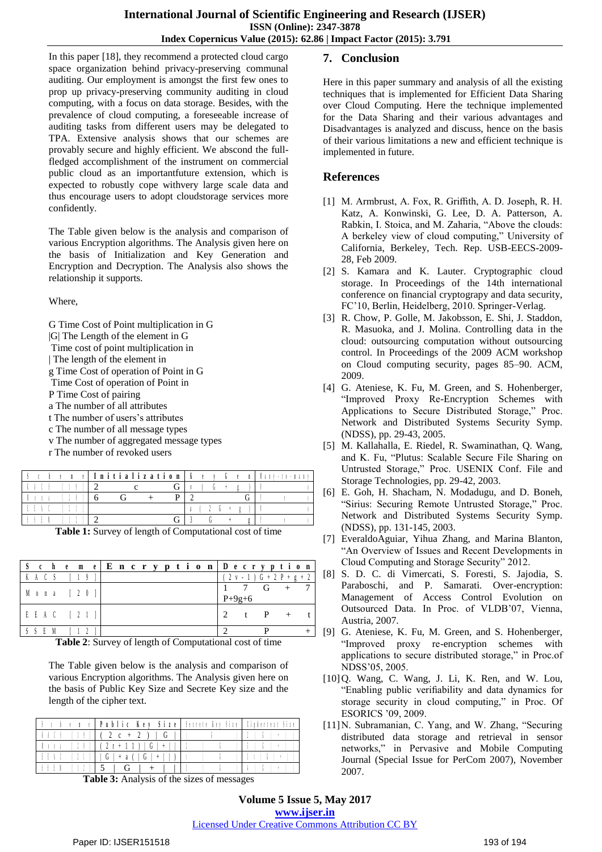In this paper [18], they recommend a protected cloud cargo space organization behind privacy-preserving communal auditing. Our employment is amongst the first few ones to prop up privacy-preserving community auditing in cloud computing, with a focus on data storage. Besides, with the prevalence of cloud computing, a foreseeable increase of auditing tasks from different users may be delegated to TPA. Extensive analysis shows that our schemes are provably secure and highly efficient. We abscond the fullfledged accomplishment of the instrument on commercial public cloud as an importantfuture extension, which is expected to robustly cope withvery large scale data and thus encourage users to adopt cloudstorage services more confidently.

The Table given below is the analysis and comparison of various Encryption algorithms. The Analysis given here on the basis of Initialization and Key Generation and Encryption and Decryption. The Analysis also shows the relationship it supports.

Where,

- G Time Cost of Point multiplication in G
- |G| The Length of the element in G
- Time cost of point multiplication in
- | The length of the element in
- g Time Cost of operation of Point in G
- Time Cost of operation of Point in
- P Time Cost of pairing
- a The number of all attributes
- t The number of users's attributes
- c The number of all message types
- v The number of aggregated message types
- r The number of revoked users

|  | Initialization |  |
|--|----------------|--|
|  |                |  |
|  |                |  |
|  |                |  |
|  |                |  |

**Table 1:** Survey of length of Computational cost of time

|   | c        | h    | e | m                                 | e. |  |  |  |  |  |               |              |          | Encryption   Decryption |                 |   |
|---|----------|------|---|-----------------------------------|----|--|--|--|--|--|---------------|--------------|----------|-------------------------|-----------------|---|
|   |          |      |   |                                   |    |  |  |  |  |  |               | $\sqrt{N}$ . |          | G                       | $+ 2 P + g + 2$ |   |
| M | $\theta$ | n a  |   | $\begin{bmatrix} 2 \end{bmatrix}$ |    |  |  |  |  |  |               |              | $P+9g+6$ |                         |                 |   |
|   |          | EEAC |   |                                   |    |  |  |  |  |  | $\mathcal{D}$ |              |          | P                       |                 |   |
|   |          |      |   |                                   |    |  |  |  |  |  |               |              |          |                         |                 | - |

**Table 2**: Survey of length of Computational cost of time

The Table given below is the analysis and comparison of various Encryption algorithms. The Analysis given here on the basis of Public Key Size and Secrete Key size and the length of the cipher text.

|          | r 1 + 1 +   Public Key Size   Secrete Ier Size   Ciphertent Si |  |
|----------|----------------------------------------------------------------|--|
|          | $(2 c + 2)$                                                    |  |
|          | $(2r+1)$                                                       |  |
|          | G                                                              |  |
| $\cdots$ |                                                                |  |

**Table 3:** Analysis of the sizes of messages

### **7. Conclusion**

Here in this paper summary and analysis of all the existing techniques that is implemented for Efficient Data Sharing over Cloud Computing. Here the technique implemented for the Data Sharing and their various advantages and Disadvantages is analyzed and discuss, hence on the basis of their various limitations a new and efficient technique is implemented in future.

### **References**

- [1] M. Armbrust, A. Fox, R. Griffith, A. D. Joseph, R. H. Katz, A. Konwinski, G. Lee, D. A. Patterson, A. Rabkin, I. Stoica, and M. Zaharia, "Above the clouds: A berkeley view of cloud computing," University of California, Berkeley, Tech. Rep. USB-EECS-2009- 28, Feb 2009.
- [2] S. Kamara and K. Lauter. Cryptographic cloud storage. In Proceedings of the 14th international conference on financial cryptograpy and data security, FC'10, Berlin, Heidelberg, 2010. Springer-Verlag.
- [3] R. Chow, P. Golle, M. Jakobsson, E. Shi, J. Staddon, R. Masuoka, and J. Molina. Controlling data in the cloud: outsourcing computation without outsourcing control. In Proceedings of the 2009 ACM workshop on Cloud computing security, pages 85–90. ACM, 2009.
- [4] G. Ateniese, K. Fu, M. Green, and S. Hohenberger, "Improved Proxy Re-Encryption Schemes with Applications to Secure Distributed Storage," Proc. Network and Distributed Systems Security Symp. (NDSS), pp. 29-43, 2005.
- [5] M. Kallahalla, E. Riedel, R. Swaminathan, Q. Wang, and K. Fu, "Plutus: Scalable Secure File Sharing on Untrusted Storage," Proc. USENIX Conf. File and Storage Technologies, pp. 29-42, 2003.
- [6] E. Goh, H. Shacham, N. Modadugu, and D. Boneh, "Sirius: Securing Remote Untrusted Storage," Proc. Network and Distributed Systems Security Symp. (NDSS), pp. 131-145, 2003.
- [7] EveraldoAguiar, Yihua Zhang, and Marina Blanton, "An Overview of Issues and Recent Developments in Cloud Computing and Storage Security" 2012.
- [8] S. D. C. di Vimercati, S. Foresti, S. Jajodia, S. Paraboschi, and P. Samarati. Over-encryption: Management of Access Control Evolution on Outsourced Data. In Proc. of VLDB'07, Vienna, Austria, 2007.
- [9] G. Ateniese, K. Fu, M. Green, and S. Hohenberger, "Improved proxy re-encryption schemes with applications to secure distributed storage," in Proc.of NDSS'05, 2005.
- [10]Q. Wang, C. Wang, J. Li, K. Ren, and W. Lou, "Enabling public verifiability and data dynamics for storage security in cloud computing," in Proc. Of ESORICS '09, 2009.
- [11]N. Subramanian, C. Yang, and W. Zhang, "Securing distributed data storage and retrieval in sensor networks," in Pervasive and Mobile Computing Journal (Special Issue for PerCom 2007), November 2007.

**Volume 5 Issue 5, May 2017 www.ijser.in** Licensed Under Creative Commons Attribution CC BY